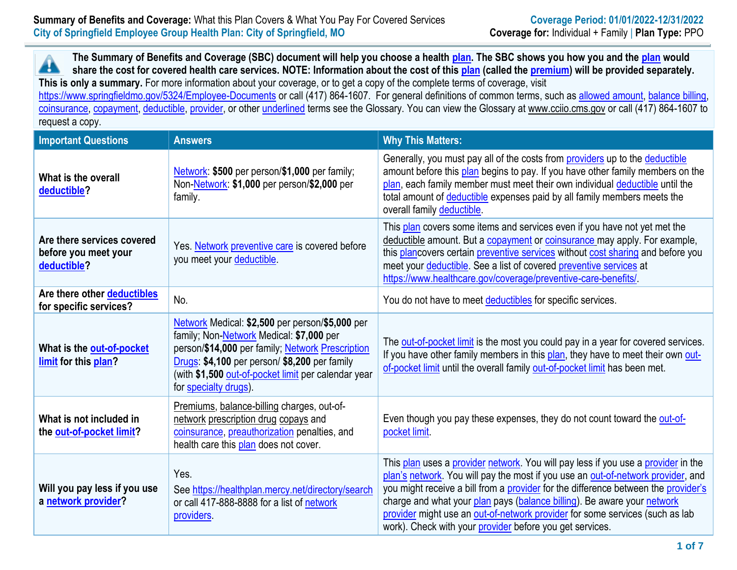**The Summary of Benefits and Coverage (SBC) document will help you choose a health [plan.](https://www.cms.gov/CCIIO/Resources/Forms-Reports-and-Other-Resources/Downloads/Uniform-Glossary-01-2020.pdf) The SBC shows you how you and the [plan](https://www.cms.gov/CCIIO/Resources/Forms-Reports-and-Other-Resources/Downloads/Uniform-Glossary-01-2020.pdf) would** Â **share the cost for covered health care services. NOTE: Information about the cost of thi[s plan](https://www.cms.gov/CCIIO/Resources/Forms-Reports-and-Other-Resources/Downloads/Uniform-Glossary-01-2020.pdf) (called the [premium\)](https://www.cms.gov/CCIIO/Resources/Forms-Reports-and-Other-Resources/Downloads/Uniform-Glossary-01-2020.pdf) will be provided separately. This is only a summary.** For more information about your coverage, or to get a copy of the complete terms of coverage, visit

<https://www.springfieldmo.gov/5324/Employee-Documents> or call (417) 864-1607. For general definitions of common terms, such as [allowed amount, balance billing,](https://www.cms.gov/CCIIO/Resources/Forms-Reports-and-Other-Resources/Downloads/Uniform-Glossary-01-2020.pdf) [coinsurance, copayment, deductible, provider,](https://www.cms.gov/CCIIO/Resources/Forms-Reports-and-Other-Resources/Downloads/Uniform-Glossary-01-2020.pdf) or other [underlined](https://www.cms.gov/CCIIO/Resources/Forms-Reports-and-Other-Resources/Downloads/Uniform-Glossary-01-2020.pdf) terms see the Glossary. You can view the Glossary at [www.cciio.cms.gov](file:///C:/Users/kwixson/NRPortbl/EAST/JLH/www.cciio.cms.gov) or call (417) 864-1607 to request a copy.

| <b>Important Questions</b>                                        | <b>Answers</b>                                                                                                                                                                                                                                                                   | <b>Why This Matters:</b>                                                                                                                                                                                                                                                                                                                                                                                                                                                           |
|-------------------------------------------------------------------|----------------------------------------------------------------------------------------------------------------------------------------------------------------------------------------------------------------------------------------------------------------------------------|------------------------------------------------------------------------------------------------------------------------------------------------------------------------------------------------------------------------------------------------------------------------------------------------------------------------------------------------------------------------------------------------------------------------------------------------------------------------------------|
| What is the overall<br>deductible?                                | Network: \$500 per person/\$1,000 per family;<br>Non-Network: \$1,000 per person/\$2,000 per<br>family.                                                                                                                                                                          | Generally, you must pay all of the costs from providers up to the deductible<br>amount before this plan begins to pay. If you have other family members on the<br>plan, each family member must meet their own individual deductible until the<br>total amount of deductible expenses paid by all family members meets the<br>overall family deductible.                                                                                                                           |
| Are there services covered<br>before you meet your<br>deductible? | Yes. Network preventive care is covered before<br>you meet your deductible.                                                                                                                                                                                                      | This plan covers some items and services even if you have not yet met the<br>deductible amount. But a copayment or coinsurance may apply. For example,<br>this plancovers certain preventive services without cost sharing and before you<br>meet your deductible. See a list of covered preventive services at<br>https://www.healthcare.gov/coverage/preventive-care-benefits/                                                                                                   |
| Are there other deductibles<br>for specific services?             | No.                                                                                                                                                                                                                                                                              | You do not have to meet deductibles for specific services.                                                                                                                                                                                                                                                                                                                                                                                                                         |
| What is the out-of-pocket<br>limit for this plan?                 | Network Medical: \$2,500 per person/\$5,000 per<br>family; Non-Network Medical: \$7,000 per<br>person/\$14,000 per family; Network Prescription<br>Drugs: \$4,100 per person/ \$8,200 per family<br>(with \$1,500 out-of-pocket limit per calendar year<br>for specialty drugs). | The out-of-pocket limit is the most you could pay in a year for covered services.<br>If you have other family members in this plan, they have to meet their own out-<br>of-pocket limit until the overall family out-of-pocket limit has been met.                                                                                                                                                                                                                                 |
| What is not included in<br>the out-of-pocket limit?               | Premiums, balance-billing charges, out-of-<br>network prescription drug copays and<br>coinsurance, preauthorization penalties, and<br>health care this plan does not cover.                                                                                                      | Even though you pay these expenses, they do not count toward the out-of-<br>pocket limit.                                                                                                                                                                                                                                                                                                                                                                                          |
| Will you pay less if you use<br>a network provider?               | Yes.<br>See https://healthplan.mercy.net/directory/search<br>or call 417-888-8888 for a list of network<br>providers.                                                                                                                                                            | This plan uses a provider network. You will pay less if you use a provider in the<br>plan's network. You will pay the most if you use an out-of-network provider, and<br>you might receive a bill from a provider for the difference between the provider's<br>charge and what your plan pays (balance billing). Be aware your network<br>provider might use an out-of-network provider for some services (such as lab<br>work). Check with your provider before you get services. |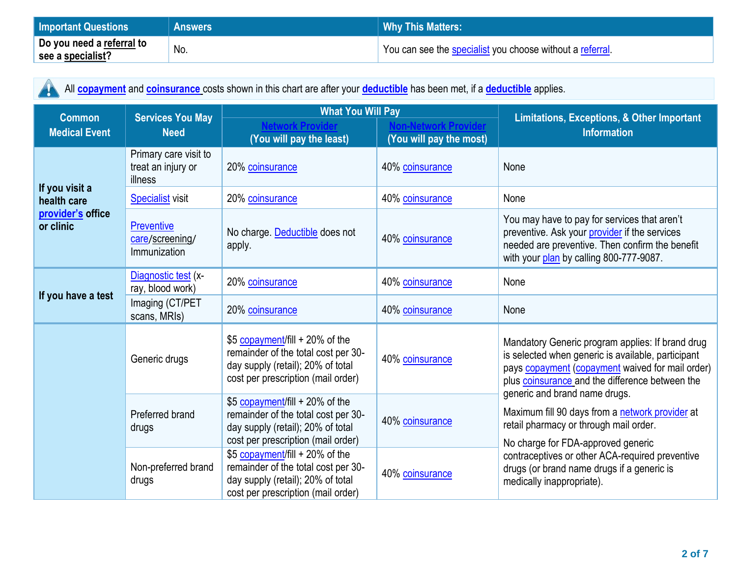| <b>Important Questions</b> | Answers | Why This Matters:'                                        |
|----------------------------|---------|-----------------------------------------------------------|
| Do you need a referral to  | No.     | You can see the specialist you choose without a referral. |
| see a specialist?          |         |                                                           |

All **[copayment](https://www.cms.gov/CCIIO/Resources/Forms-Reports-and-Other-Resources/Downloads/Uniform-Glossary-01-2020.pdf)** and **[coinsurance](https://www.cms.gov/CCIIO/Resources/Forms-Reports-and-Other-Resources/Downloads/Uniform-Glossary-01-2020.pdf)** costs shown in this chart are after your **[deductible](https://www.cms.gov/CCIIO/Resources/Forms-Reports-and-Other-Resources/Downloads/Uniform-Glossary-01-2020.pdf)** has been met, if a **[deductible](https://www.cms.gov/CCIIO/Resources/Forms-Reports-and-Other-Resources/Downloads/Uniform-Glossary-01-2020.pdf)** applies.

| <b>Common</b>                  | <b>Services You May</b><br><b>Need</b>                 | <b>What You Will Pay</b>                                                                                                                          |                         | <b>Limitations, Exceptions, &amp; Other Important</b>                                                                                                                                                                                          |  |
|--------------------------------|--------------------------------------------------------|---------------------------------------------------------------------------------------------------------------------------------------------------|-------------------------|------------------------------------------------------------------------------------------------------------------------------------------------------------------------------------------------------------------------------------------------|--|
| <b>Medical Event</b>           |                                                        | (You will pay the least)                                                                                                                          | (You will pay the most) | <b>Information</b>                                                                                                                                                                                                                             |  |
|                                | Primary care visit to<br>treat an injury or<br>illness | 20% coinsurance                                                                                                                                   | 40% coinsurance         | None                                                                                                                                                                                                                                           |  |
| If you visit a<br>health care  | <b>Specialist visit</b>                                | 20% coinsurance                                                                                                                                   | 40% coinsurance         | None                                                                                                                                                                                                                                           |  |
| provider's office<br>or clinic | <b>Preventive</b><br>care/screening/<br>Immunization   | No charge. Deductible does not<br>apply.                                                                                                          | 40% coinsurance         | You may have to pay for services that aren't<br>preventive. Ask your provider if the services<br>needed are preventive. Then confirm the benefit<br>with your plan by calling 800-777-9087.                                                    |  |
| If you have a test             | Diagnostic test (x-<br>ray, blood work)                | 20% coinsurance                                                                                                                                   | 40% coinsurance         | None                                                                                                                                                                                                                                           |  |
|                                | Imaging (CT/PET<br>scans, MRIs)                        | 20% coinsurance                                                                                                                                   | 40% coinsurance         | None                                                                                                                                                                                                                                           |  |
|                                | Generic drugs                                          | \$5 copayment/fill + 20% of the<br>remainder of the total cost per 30-<br>day supply (retail); 20% of total<br>cost per prescription (mail order) | 40% coinsurance         | Mandatory Generic program applies: If brand drug<br>is selected when generic is available, participant<br>pays copayment (copayment waived for mail order)<br>plus coinsurance and the difference between the<br>generic and brand name drugs. |  |
|                                | Preferred brand<br>drugs                               | \$5 copayment/fill + 20% of the<br>remainder of the total cost per 30-<br>day supply (retail); 20% of total<br>cost per prescription (mail order) | 40% coinsurance         | Maximum fill 90 days from a network provider at<br>retail pharmacy or through mail order.<br>No charge for FDA-approved generic                                                                                                                |  |
|                                | Non-preferred brand<br>drugs                           | \$5 copayment/fill + 20% of the<br>remainder of the total cost per 30-<br>day supply (retail); 20% of total<br>cost per prescription (mail order) | 40% coinsurance         | contraceptives or other ACA-required preventive<br>drugs (or brand name drugs if a generic is<br>medically inappropriate).                                                                                                                     |  |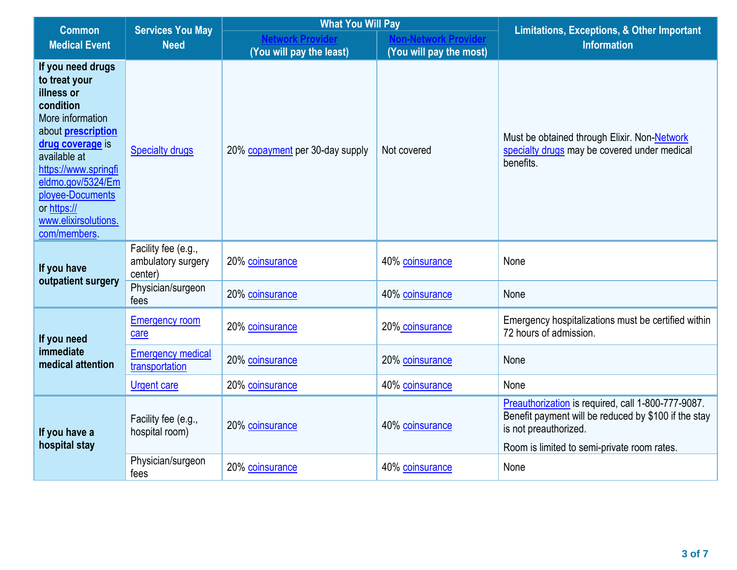| <b>Common</b>                                                                                                                                                                                                                                                             | <b>Services You May</b><br><b>Need</b>               | <b>What You Will Pay</b>        |                         | <b>Limitations, Exceptions, &amp; Other Important</b>                                                                                                                              |  |
|---------------------------------------------------------------------------------------------------------------------------------------------------------------------------------------------------------------------------------------------------------------------------|------------------------------------------------------|---------------------------------|-------------------------|------------------------------------------------------------------------------------------------------------------------------------------------------------------------------------|--|
| <b>Medical Event</b>                                                                                                                                                                                                                                                      |                                                      | (You will pay the least)        | (You will pay the most) | <b>Information</b>                                                                                                                                                                 |  |
| If you need drugs<br>to treat your<br>illness or<br>condition<br>More information<br>about <b>prescription</b><br>drug coverage is<br>available at<br>https://www.springfi<br>eldmo.gov/5324/Em<br>ployee-Documents<br>or https://<br>www.elixirsolutions.<br>com/members | <b>Specialty drugs</b>                               | 20% copayment per 30-day supply | Not covered             | Must be obtained through Elixir. Non-Network<br>specialty drugs may be covered under medical<br>benefits.                                                                          |  |
| If you have<br>outpatient surgery                                                                                                                                                                                                                                         | Facility fee (e.g.,<br>ambulatory surgery<br>center) | 20% coinsurance                 | 40% coinsurance         | None                                                                                                                                                                               |  |
|                                                                                                                                                                                                                                                                           | Physician/surgeon<br>fees                            | 20% coinsurance                 | 40% coinsurance         | None                                                                                                                                                                               |  |
| If you need<br>immediate<br>medical attention                                                                                                                                                                                                                             | <b>Emergency room</b><br>care                        | 20% coinsurance                 | 20% coinsurance         | Emergency hospitalizations must be certified within<br>72 hours of admission.                                                                                                      |  |
|                                                                                                                                                                                                                                                                           | <b>Emergency medical</b><br>transportation           | 20% coinsurance                 | 20% coinsurance         | None                                                                                                                                                                               |  |
|                                                                                                                                                                                                                                                                           | <b>Urgent care</b>                                   | 20% coinsurance                 | 40% coinsurance         | None                                                                                                                                                                               |  |
| If you have a<br>hospital stay                                                                                                                                                                                                                                            | Facility fee (e.g.,<br>hospital room)                | 20% coinsurance                 | 40% coinsurance         | Preauthorization is required, call 1-800-777-9087.<br>Benefit payment will be reduced by \$100 if the stay<br>is not preauthorized.<br>Room is limited to semi-private room rates. |  |
|                                                                                                                                                                                                                                                                           | Physician/surgeon<br>fees                            | 20% coinsurance                 | 40% coinsurance         | None                                                                                                                                                                               |  |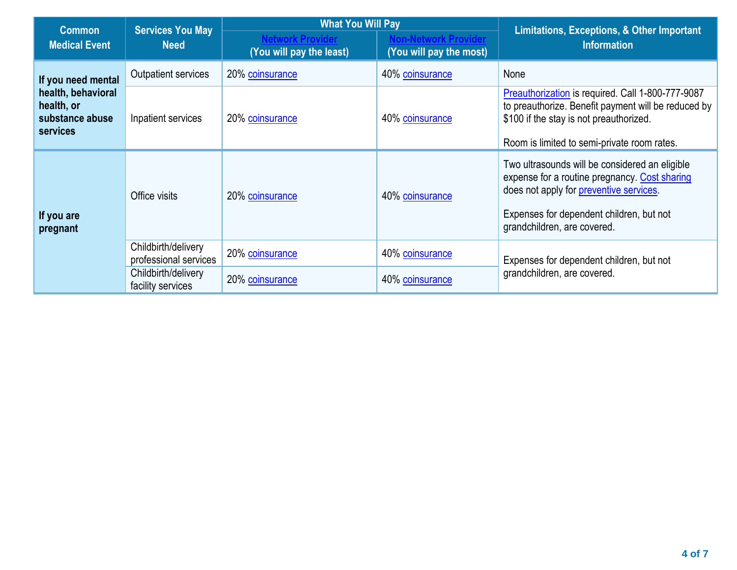| <b>Common</b>                                                                         | <b>Services You May</b>                      | <b>What You Will Pay</b> |                         | Limitations, Exceptions, & Other Important                                                                                                                                                                            |  |
|---------------------------------------------------------------------------------------|----------------------------------------------|--------------------------|-------------------------|-----------------------------------------------------------------------------------------------------------------------------------------------------------------------------------------------------------------------|--|
| <b>Medical Event</b>                                                                  | <b>Need</b>                                  | (You will pay the least) | (You will pay the most) | <b>Information</b>                                                                                                                                                                                                    |  |
| If you need mental<br>health, behavioral<br>health, or<br>substance abuse<br>services | Outpatient services                          | 20% coinsurance          | 40% coinsurance         | None                                                                                                                                                                                                                  |  |
|                                                                                       | Inpatient services                           | 20% coinsurance          | 40% coinsurance         | Preauthorization is required. Call 1-800-777-9087<br>to preauthorize. Benefit payment will be reduced by<br>\$100 if the stay is not preauthorized.<br>Room is limited to semi-private room rates.                    |  |
| If you are<br>pregnant                                                                | Office visits                                | 20% coinsurance          | 40% coinsurance         | Two ultrasounds will be considered an eligible<br>expense for a routine pregnancy. Cost sharing<br>does not apply for preventive services.<br>Expenses for dependent children, but not<br>grandchildren, are covered. |  |
|                                                                                       | Childbirth/delivery<br>professional services | 20% coinsurance          | 40% coinsurance         | Expenses for dependent children, but not                                                                                                                                                                              |  |
|                                                                                       | Childbirth/delivery<br>facility services     | 20% coinsurance          | 40% coinsurance         | grandchildren, are covered.                                                                                                                                                                                           |  |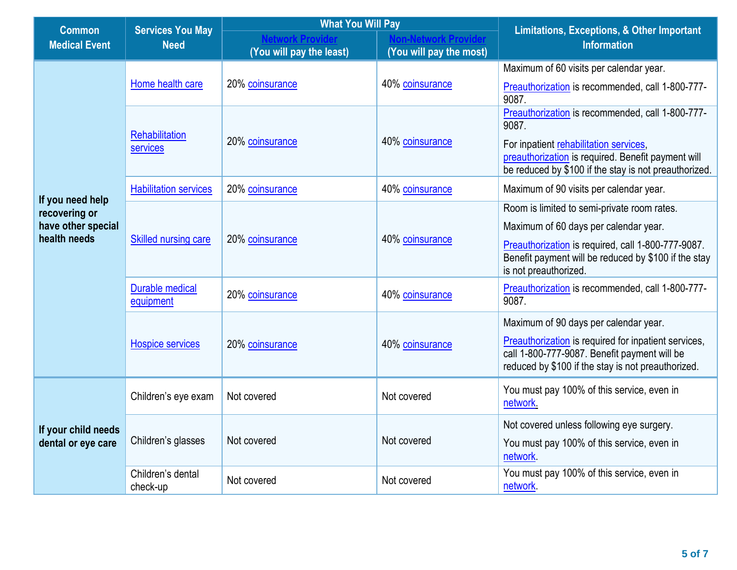| <b>Common</b>                             | <b>Services You May</b><br><b>Need</b> | <b>What You Will Pay</b> |                         | <b>Limitations, Exceptions, &amp; Other Important</b>                                                                                                             |  |
|-------------------------------------------|----------------------------------------|--------------------------|-------------------------|-------------------------------------------------------------------------------------------------------------------------------------------------------------------|--|
| <b>Medical Event</b>                      |                                        |                          |                         | <b>Information</b>                                                                                                                                                |  |
|                                           |                                        | (You will pay the least) | (You will pay the most) |                                                                                                                                                                   |  |
|                                           |                                        |                          |                         | Maximum of 60 visits per calendar year.                                                                                                                           |  |
|                                           | Home health care                       | 20% coinsurance          | 40% coinsurance         | Preauthorization is recommended, call 1-800-777-<br>9087.                                                                                                         |  |
|                                           | Rehabilitation                         | 20% coinsurance          | 40% coinsurance         | Preauthorization is recommended, call 1-800-777-<br>9087.                                                                                                         |  |
|                                           | services                               |                          |                         | For inpatient rehabilitation services,<br>preauthorization is required. Benefit payment will<br>be reduced by \$100 if the stay is not preauthorized.             |  |
| If you need help                          | <b>Habilitation services</b>           | 20% coinsurance          | 40% coinsurance         | Maximum of 90 visits per calendar year.                                                                                                                           |  |
| recovering or                             |                                        | 20% coinsurance          | 40% coinsurance         | Room is limited to semi-private room rates.                                                                                                                       |  |
| have other special                        |                                        |                          |                         | Maximum of 60 days per calendar year.                                                                                                                             |  |
| health needs                              | Skilled nursing care                   |                          |                         | Preauthorization is required, call 1-800-777-9087.<br>Benefit payment will be reduced by \$100 if the stay<br>is not preauthorized.                               |  |
|                                           | <b>Durable medical</b><br>equipment    | 20% coinsurance          | 40% coinsurance         | Preauthorization is recommended, call 1-800-777-<br>9087.                                                                                                         |  |
|                                           |                                        | 20% coinsurance          | 40% coinsurance         | Maximum of 90 days per calendar year.                                                                                                                             |  |
|                                           | <b>Hospice services</b>                |                          |                         | <b>Preauthorization</b> is required for inpatient services,<br>call 1-800-777-9087. Benefit payment will be<br>reduced by \$100 if the stay is not preauthorized. |  |
| If your child needs<br>dental or eye care | Children's eye exam                    | Not covered              | Not covered             | You must pay 100% of this service, even in<br>network.                                                                                                            |  |
|                                           |                                        | Not covered              | Not covered             | Not covered unless following eye surgery.                                                                                                                         |  |
|                                           | Children's glasses                     |                          |                         | You must pay 100% of this service, even in<br>network.                                                                                                            |  |
|                                           | Children's dental<br>check-up          | Not covered              | Not covered             | You must pay 100% of this service, even in<br>network                                                                                                             |  |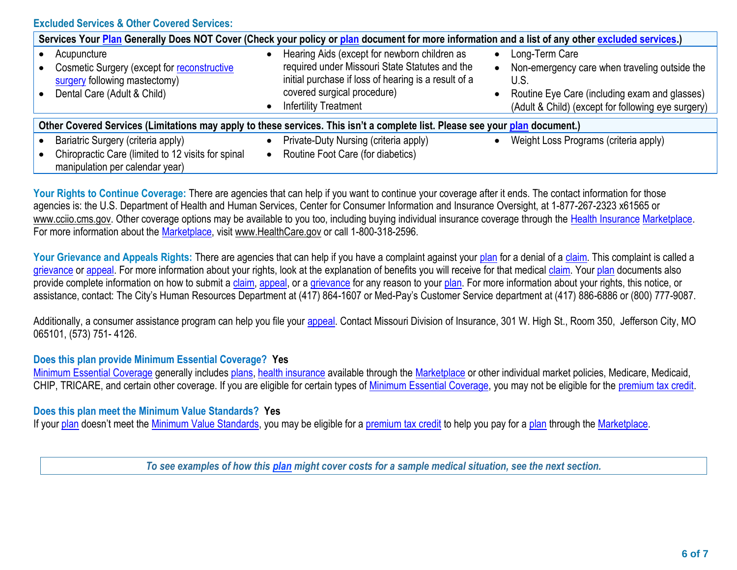## **Excluded Services & Other Covered Services:**

| Services Your Plan Generally Does NOT Cover (Check your policy or plan document for more information and a list of any other excluded services.) |                                                                                                                                                                                                                       |                                                                                                                                                                                             |  |  |  |
|--------------------------------------------------------------------------------------------------------------------------------------------------|-----------------------------------------------------------------------------------------------------------------------------------------------------------------------------------------------------------------------|---------------------------------------------------------------------------------------------------------------------------------------------------------------------------------------------|--|--|--|
| Acupuncture<br>Cosmetic Surgery (except for reconstructive<br>surgery following mastectomy)<br>Dental Care (Adult & Child)                       | Hearing Aids (except for newborn children as<br>required under Missouri State Statutes and the<br>initial purchase if loss of hearing is a result of a<br>covered surgical procedure)<br><b>Infertility Treatment</b> | Long-Term Care<br>$\bullet$<br>Non-emergency care when traveling outside the<br>U.S.<br>Routine Eye Care (including exam and glasses)<br>(Adult & Child) (except for following eye surgery) |  |  |  |
| Other Covered Services (Limitations may apply to these services. This isn't a complete list. Please see your plan document.)                     |                                                                                                                                                                                                                       |                                                                                                                                                                                             |  |  |  |
| Bariatric Surgery (criteria apply)<br>Chiropractic Care (limited to 12 visits for spinal<br>manipulation per calendar year)                      | Private-Duty Nursing (criteria apply)<br>Routine Foot Care (for diabetics)                                                                                                                                            | Weight Loss Programs (criteria apply)                                                                                                                                                       |  |  |  |

Your Rights to Continue Coverage: There are agencies that can help if you want to continue your coverage after it ends. The contact information for those agencies is: the U.S. Department of Health and Human Services, Center for Consumer Information and Insurance Oversight, at 1-877-267-2323 x61565 or www.cciio.cms.gov. Other coverage options may be available to you too, including buying individual insurance coverage through the [Health Insurance](https://www.cms.gov/CCIIO/Resources/Forms-Reports-and-Other-Resources/Downloads/Uniform-Glossary-01-2020.pdf) [Marketplace.](https://www.cms.gov/CCIIO/Resources/Forms-Reports-and-Other-Resources/Downloads/Uniform-Glossary-01-2020.pdf) For more information about the [Marketplace,](https://www.cms.gov/CCIIO/Resources/Forms-Reports-and-Other-Resources/Downloads/Uniform-Glossary-01-2020.pdf) visit www.HealthCare.gov or call 1-800-318-2596.

Your Grievance and Appeals Rights: There are agencies that can help if you have a complaint against your [plan](https://www.cms.gov/CCIIO/Resources/Forms-Reports-and-Other-Resources/Downloads/Uniform-Glossary-01-2020.pdf) for a denial of a [claim.](https://www.cms.gov/CCIIO/Resources/Forms-Reports-and-Other-Resources/Downloads/Uniform-Glossary-01-2020.pdf) This complaint is called a [grievance](https://www.cms.gov/CCIIO/Resources/Forms-Reports-and-Other-Resources/Downloads/Uniform-Glossary-01-2020.pdf) or [appeal.](https://www.cms.gov/CCIIO/Resources/Forms-Reports-and-Other-Resources/Downloads/Uniform-Glossary-01-2020.pdf) For more information about your rights, look at the explanation of benefits you will receive for that medical [claim.](https://www.cms.gov/CCIIO/Resources/Forms-Reports-and-Other-Resources/Downloads/Uniform-Glossary-01-2020.pdf) Your [plan](https://www.cms.gov/CCIIO/Resources/Forms-Reports-and-Other-Resources/Downloads/Uniform-Glossary-01-2020.pdf) documents also provide complete information on how to submit a [claim,](https://www.cms.gov/CCIIO/Resources/Forms-Reports-and-Other-Resources/Downloads/Uniform-Glossary-01-2020.pdf) [appeal,](https://www.cms.gov/CCIIO/Resources/Forms-Reports-and-Other-Resources/Downloads/Uniform-Glossary-01-2020.pdf) or a [grievance](https://www.cms.gov/CCIIO/Resources/Forms-Reports-and-Other-Resources/Downloads/Uniform-Glossary-01-2020.pdf) for any reason to your [plan.](https://www.cms.gov/CCIIO/Resources/Forms-Reports-and-Other-Resources/Downloads/Uniform-Glossary-01-2020.pdf) For more information about your rights, this notice, or assistance, contact: The City's Human Resources Department at (417) 864-1607 or Med-Pay's Customer Service department at (417) 886-6886 or (800) 777-9087.

Additionally, a consumer assistance program can help you file your [appeal.](https://www.cms.gov/CCIIO/Resources/Forms-Reports-and-Other-Resources/Downloads/Uniform-Glossary-01-2020.pdf) Contact Missouri Division of Insurance, 301 W. High St., Room 350, Jefferson City, MO 065101, (573) 751- 4126.

## **Does this plan provide Minimum Essential Coverage? Yes**

[Minimum Essential Coverage](https://www.healthcare.gov/sbc-glossary/#minimum-essential-coverage) generally includes [plans, health insurance](https://www.cms.gov/CCIIO/Resources/Forms-Reports-and-Other-Resources/Downloads/Uniform-Glossary-01-2020.pdf) available through the [Marketplace](https://www.cms.gov/CCIIO/Resources/Forms-Reports-and-Other-Resources/Downloads/Uniform-Glossary-01-2020.pdf) or other individual market policies, Medicare, Medicaid, CHIP, TRICARE, and certain other coverage. If you are eligible for certain types of [Minimum Essential Coverage,](https://www.healthcare.gov/sbc-glossary/#minimum-essential-coverage) you may not be eligible for the [premium tax credit.](https://www.cms.gov/CCIIO/Resources/Forms-Reports-and-Other-Resources/Downloads/Uniform-Glossary-01-2020.pdf)

## **Does this plan meet the Minimum Value Standards? Yes**

If your [plan](https://www.cms.gov/CCIIO/Resources/Forms-Reports-and-Other-Resources/Downloads/Uniform-Glossary-01-2020.pdf) doesn't meet the [Minimum Value Standards,](https://www.cms.gov/CCIIO/Resources/Forms-Reports-and-Other-Resources/Downloads/Uniform-Glossary-01-2020.pdf) you may be eligible for a [premium tax credit](https://www.cms.gov/CCIIO/Resources/Forms-Reports-and-Other-Resources/Downloads/Uniform-Glossary-01-2020.pdf) to help you pay for a plan through the [Marketplace.](https://www.cms.gov/CCIIO/Resources/Forms-Reports-and-Other-Resources/Downloads/Uniform-Glossary-01-2020.pdf)

*To see examples of how this plan might cover costs for a sample medical situation, see the next section.*